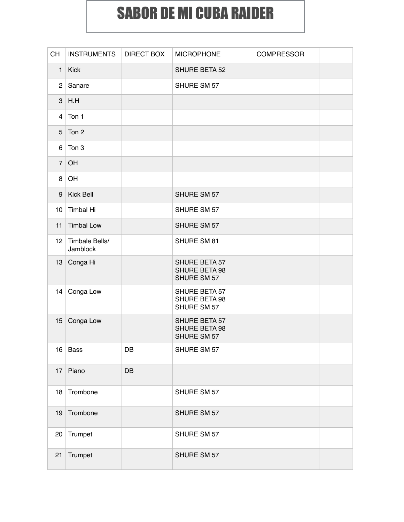## SABOR DE MI CUBA RAIDER

| <b>CH</b>       | <b>INSTRUMENTS</b>         | <b>DIRECT BOX</b> | <b>MICROPHONE</b>                                    | <b>COMPRESSOR</b> |  |
|-----------------|----------------------------|-------------------|------------------------------------------------------|-------------------|--|
| 1 <sup>1</sup>  | Kick                       |                   | SHURE BETA 52                                        |                   |  |
| 2 <sup>1</sup>  | Sanare                     |                   | SHURE SM 57                                          |                   |  |
|                 | $3$ H.H                    |                   |                                                      |                   |  |
| 4               | Ton 1                      |                   |                                                      |                   |  |
| 5               | Ton 2                      |                   |                                                      |                   |  |
| 6               | Ton 3                      |                   |                                                      |                   |  |
| $\overline{7}$  | OH                         |                   |                                                      |                   |  |
| 8 <sup>1</sup>  | OH                         |                   |                                                      |                   |  |
| 9               | <b>Kick Bell</b>           |                   | SHURE SM 57                                          |                   |  |
| 10              | <b>Timbal Hi</b>           |                   | SHURE SM 57                                          |                   |  |
| 11              | <b>Timbal Low</b>          |                   | SHURE SM 57                                          |                   |  |
| 12 <sup>1</sup> | Timbale Bells/<br>Jamblock |                   | SHURE SM 81                                          |                   |  |
|                 | 13 Conga Hi                |                   | SHURE BETA 57<br><b>SHURE BETA 98</b><br>SHURE SM 57 |                   |  |
| 14              | Conga Low                  |                   | SHURE BETA 57<br>SHURE BETA 98<br>SHURE SM 57        |                   |  |
| 15              | Conga Low                  |                   | SHURE BETA 57<br><b>SHURE BETA 98</b><br>SHURE SM 57 |                   |  |
|                 | $16$ Bass                  | DB                | SHURE SM 57                                          |                   |  |
|                 | 17 Piano                   | DB                |                                                      |                   |  |
|                 | 18 Trombone                |                   | SHURE SM 57                                          |                   |  |
| 19              | Trombone                   |                   | SHURE SM 57                                          |                   |  |
|                 | 20 Trumpet                 |                   | SHURE SM 57                                          |                   |  |
| 21              | Trumpet                    |                   | SHURE SM 57                                          |                   |  |